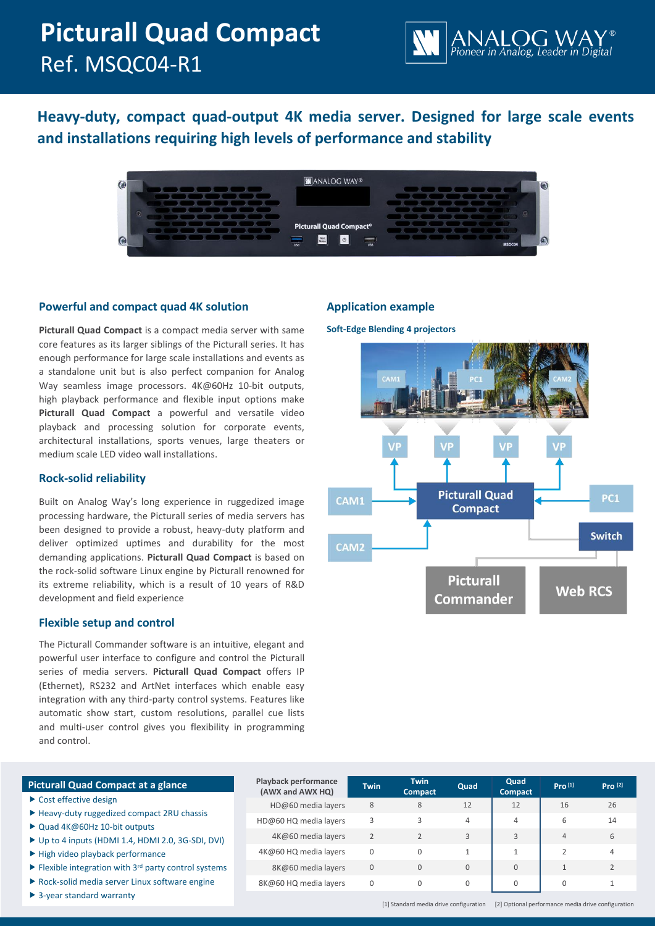# **Picturall Quad Compact** Ref. MSQC04-R1



**Heavy-duty, compact quad-output 4K media server. Designed for large scale events and installations requiring high levels of performance and stability**

| <b>ANALOG WAY®</b>                                    |                                                     | $\bullet$   |
|-------------------------------------------------------|-----------------------------------------------------|-------------|
|                                                       |                                                     |             |
|                                                       | $\sim$ $\sim$ $\sim$ $\sim$ $\sim$ $\sim$<br>$\sim$ |             |
|                                                       | $\sim$ $\sim$ $\sim$ $\sim$ $\sim$ $\sim$           |             |
| <b>Picturall Quad Compact®</b>                        |                                                     |             |
| Next<br>Status<br>$\circ$<br>$\overline{u}$ ss<br>USB |                                                     | Œ<br>MSQC04 |

# **Powerful and compact quad 4K solution**

**Picturall Quad Compact** is a compact media server with same core features as its larger siblings of the Picturall series. It has enough performance for large scale installations and events as a standalone unit but is also perfect companion for Analog Way seamless image processors. 4K@60Hz 10-bit outputs, high playback performance and flexible input options make **Picturall Quad Compact** a powerful and versatile video playback and processing solution for corporate events, architectural installations, sports venues, large theaters or medium scale LED video wall installations.

# **Rock-solid reliability**

Built on Analog Way's long experience in ruggedized image processing hardware, the Picturall series of media servers has been designed to provide a robust, heavy-duty platform and deliver optimized uptimes and durability for the most demanding applications. **Picturall Quad Compact** is based on the rock-solid software Linux engine by Picturall renowned for its extreme reliability, which is a result of 10 years of R&D development and field experience

# **Flexible setup and control**

The Picturall Commander software is an intuitive, elegant and powerful user interface to configure and control the Picturall series of media servers. **Picturall Quad Compact** offers IP (Ethernet), RS232 and ArtNet interfaces which enable easy integration with any third-party control systems. Features like automatic show start, custom resolutions, parallel cue lists and multi-user control gives you flexibility in programming and control.

# **Application example**

**Soft-Edge Blending 4 projectors**



# **Picturall Quad Compact at a glance**

- ▶ Cost effective design
- ▶ Heavy-duty ruggedized compact 2RU chassis
- ▶ Quad 4K@60Hz 10-bit outputs
- ▶ Up to 4 inputs (HDMI 1.4, HDMI 2.0, 3G-SDI, DVI)
- $\blacktriangleright$  High video playback performance
- $\blacktriangleright$  Flexible integration with 3<sup>rd</sup> party control systems
- Rock-solid media server Linux software engine
- ▶ 3-year standard warranty

| <b>Playback performance</b><br>(AWX and AWX HQ) | <b>Twin</b>   | <b>Twin</b><br><b>Compact</b> | Quad     | Quad<br><b>Compact</b> | Pro <sup>[1]</sup> | Pro <sup>[2]</sup> |
|-------------------------------------------------|---------------|-------------------------------|----------|------------------------|--------------------|--------------------|
| HD@60 media layers                              | 8             | 8                             | 12       | 12                     | 16                 | 26                 |
| HD@60 HQ media layers                           | 3             | 3                             | 4        | 4                      | 6                  | 14                 |
| 4K@60 media layers                              | $\mathcal{P}$ | $\overline{2}$                | 3        | 3                      | $\overline{4}$     | 6                  |
| 4K@60 HQ media layers                           | $\Omega$      | 0                             |          | 1                      |                    | 4                  |
| 8K@60 media layers                              | $\mathbf{0}$  | 0                             | $\Omega$ | $\mathbf{0}$           |                    |                    |
| 8K@60 HQ media layers                           | 0             | $\Omega$                      | $\Omega$ | 0                      |                    |                    |